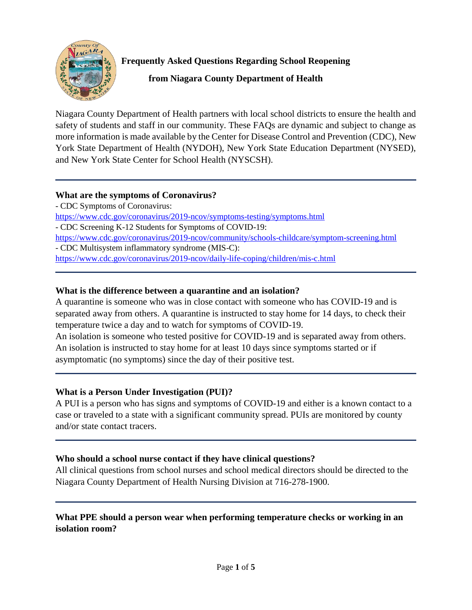

**Frequently Asked Questions Regarding School Reopening**

**from Niagara County Department of Health**

Niagara County Department of Health partners with local school districts to ensure the health and safety of students and staff in our community. These FAQs are dynamic and subject to change as more information is made available by the Center for Disease Control and Prevention (CDC), New York State Department of Health (NYDOH), New York State Education Department (NYSED), and New York State Center for School Health (NYSCSH).

### **What are the symptoms of Coronavirus?**

- CDC Symptoms of Coronavirus: <https://www.cdc.gov/coronavirus/2019-ncov/symptoms-testing/symptoms.html> - CDC Screening K-12 Students for Symptoms of COVID-19: <https://www.cdc.gov/coronavirus/2019-ncov/community/schools-childcare/symptom-screening.html> - CDC Multisystem inflammatory syndrome (MIS-C): <https://www.cdc.gov/coronavirus/2019-ncov/daily-life-coping/children/mis-c.html>

# **What is the difference between a quarantine and an isolation?**

A quarantine is someone who was in close contact with someone who has COVID-19 and is separated away from others. A quarantine is instructed to stay home for 14 days, to check their temperature twice a day and to watch for symptoms of COVID-19.

An isolation is someone who tested positive for COVID-19 and is separated away from others. An isolation is instructed to stay home for at least 10 days since symptoms started or if asymptomatic (no symptoms) since the day of their positive test.

# **What is a Person Under Investigation (PUI)?**

A PUI is a person who has signs and symptoms of COVID-19 and either is a known contact to a case or traveled to a state with a significant community spread. PUIs are monitored by county and/or state contact tracers.

# **Who should a school nurse contact if they have clinical questions?**

All clinical questions from school nurses and school medical directors should be directed to the Niagara County Department of Health Nursing Division at 716-278-1900.

# **What PPE should a person wear when performing temperature checks or working in an isolation room?**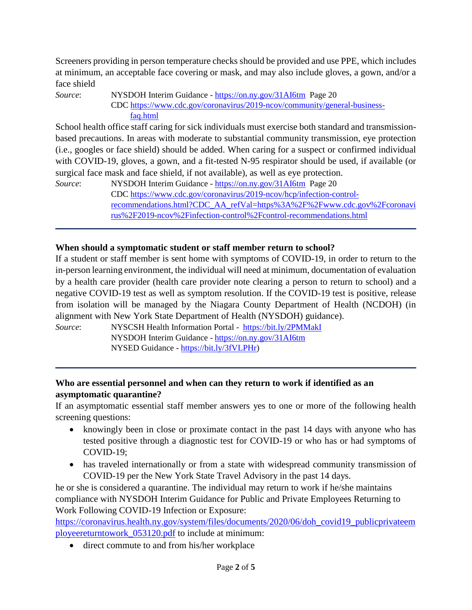Screeners providing in person temperature checks should be provided and use PPE, which includes at minimum, an acceptable face covering or mask, and may also include gloves, a gown, and/or a face shield

*Source*: NYSDOH Interim Guidance - <https://on.ny.gov/31AI6tm>Page 20 CDC [https://www.cdc.gov/coronavirus/2019-ncov/community/general-business](https://www.cdc.gov/coronavirus/2019-ncov/community/general-business-%20%20%20%20%20%20%20%20%20%20%20faq.html)   [faq.html](https://www.cdc.gov/coronavirus/2019-ncov/community/general-business-%20%20%20%20%20%20%20%20%20%20%20faq.html)

School health office staff caring for sick individuals must exercise both standard and transmissionbased precautions. In areas with moderate to substantial community transmission, eye protection (i.e., googles or face shield) should be added. When caring for a suspect or confirmed individual with COVID-19, gloves, a gown, and a fit-tested N-95 respirator should be used, if available (or surgical face mask and face shield, if not available), as well as eye protection.

*Source*: NYSDOH Interim Guidance - <https://on.ny.gov/31AI6tm>Page 20 CDC [https://www.cdc.gov/coronavirus/2019-ncov/hcp/infection-control](https://www.cdc.gov/coronavirus/2019-ncov/hcp/infection-control-recommendations.html?CDC_AA_refVal=https%3A%2F%2Fwww.cdc.gov%2Fcoronavirus%2F2019-ncov%2Finfection-control%2Fcontrol-recommendations.html)[recommendations.html?CDC\\_AA\\_refVal=https%3A%2F%2Fwww.cdc.gov%2Fcoronavi](https://www.cdc.gov/coronavirus/2019-ncov/hcp/infection-control-recommendations.html?CDC_AA_refVal=https%3A%2F%2Fwww.cdc.gov%2Fcoronavirus%2F2019-ncov%2Finfection-control%2Fcontrol-recommendations.html) [rus%2F2019-ncov%2Finfection-control%2Fcontrol-recommendations.html](https://www.cdc.gov/coronavirus/2019-ncov/hcp/infection-control-recommendations.html?CDC_AA_refVal=https%3A%2F%2Fwww.cdc.gov%2Fcoronavirus%2F2019-ncov%2Finfection-control%2Fcontrol-recommendations.html)

#### **When should a symptomatic student or staff member return to school?**

If a student or staff member is sent home with symptoms of COVID-19, in order to return to the in-person learning environment, the individual will need at minimum, documentation of evaluation by a health care provider (health care provider note clearing a person to return to school) and a negative COVID-19 test as well as symptom resolution. If the COVID-19 test is positive, release from isolation will be managed by the Niagara County Department of Health (NCDOH) (in alignment with New York State Department of Health (NYSDOH) guidance).

*Source*: NYSCSH Health Information Portal - <https://bit.ly/2PMMakI> NYSDOH Interim Guidance - <https://on.ny.gov/31AI6tm> NYSED Guidance - [https://bit.ly/3fVLPHr\)](https://bit.ly/3fVLPHr)

#### **Who are essential personnel and when can they return to work if identified as an asymptomatic quarantine?**

If an asymptomatic essential staff member answers yes to one or more of the following health screening questions:

- knowingly been in close or proximate contact in the past 14 days with anyone who has tested positive through a diagnostic test for COVID-19 or who has or had symptoms of COVID-19;
- has traveled internationally or from a state with widespread community transmission of COVID-19 per the New York State Travel Advisory in the past 14 days.

he or she is considered a quarantine. The individual may return to work if he/she maintains compliance with NYSDOH Interim Guidance for Public and Private Employees Returning to Work Following COVID-19 Infection or Exposure:

[https://coronavirus.health.ny.gov/system/files/documents/2020/06/doh\\_covid19\\_publicprivateem](https://coronavirus.health.ny.gov/system/files/documents/2020/06/doh_covid19_publicprivateemployeereturntowork_053120.pdf) [ployeereturntowork\\_053120.pdf](https://coronavirus.health.ny.gov/system/files/documents/2020/06/doh_covid19_publicprivateemployeereturntowork_053120.pdf) to include at minimum:

• direct commute to and from his/her workplace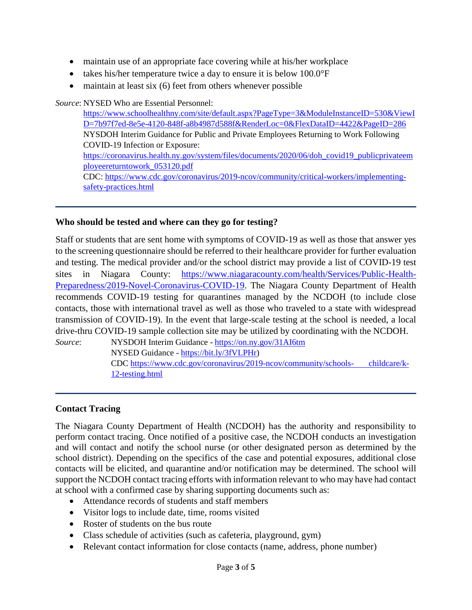- maintain use of an appropriate face covering while at his/her workplace
- takes his/her temperature twice a day to ensure it is below  $100.0\textdegree F$
- maintain at least six (6) feet from others whenever possible

*Source*: NYSED Who are Essential Personnel:

[https://www.schoolhealthny.com/site/default.aspx?PageType=3&ModuleInstanceID=530&ViewI](https://www.schoolhealthny.com/site/default.aspx?PageType=3&ModuleInstanceID=530&ViewID=7b97f7ed-8e5e-4120-848f-a8b4987d588f&RenderLoc=0&FlexDataID=4422&PageID=286) [D=7b97f7ed-8e5e-4120-848f-a8b4987d588f&RenderLoc=0&FlexDataID=4422&PageID=286](https://www.schoolhealthny.com/site/default.aspx?PageType=3&ModuleInstanceID=530&ViewID=7b97f7ed-8e5e-4120-848f-a8b4987d588f&RenderLoc=0&FlexDataID=4422&PageID=286) NYSDOH Interim Guidance for Public and Private Employees Returning to Work Following COVID-19 Infection or Exposure: [https://coronavirus.health.ny.gov/system/files/documents/2020/06/doh\\_covid19\\_publicprivateem](https://coronavirus.health.ny.gov/system/files/documents/2020/06/doh_covid19_publicprivateemployeereturntowork_053120.pdf) [ployeereturntowork\\_053120.pdf](https://coronavirus.health.ny.gov/system/files/documents/2020/06/doh_covid19_publicprivateemployeereturntowork_053120.pdf) CDC: [https://www.cdc.gov/coronavirus/2019-ncov/community/critical-workers/implementing](https://www.cdc.gov/coronavirus/2019-ncov/community/critical-workers/implementing-safety-practices.html)[safety-practices.html](https://www.cdc.gov/coronavirus/2019-ncov/community/critical-workers/implementing-safety-practices.html)

#### **Who should be tested and where can they go for testing?**

Staff or students that are sent home with symptoms of COVID-19 as well as those that answer yes to the screening questionnaire should be referred to their healthcare provider for further evaluation and testing. The medical provider and/or the school district may provide a list of COVID-19 test sites in Niagara County: [https://www.niagaracounty.com/health/Services/Public-Health-](https://www.niagaracounty.com/health/Services/Public-Health-Preparedness/2019-Novel-Coronavirus-COVID-19)[Preparedness/2019-Novel-Coronavirus-COVID-19.](https://www.niagaracounty.com/health/Services/Public-Health-Preparedness/2019-Novel-Coronavirus-COVID-19) The Niagara County Department of Health recommends COVID-19 testing for quarantines managed by the NCDOH (to include close contacts, those with international travel as well as those who traveled to a state with widespread transmission of COVID-19). In the event that large-scale testing at the school is needed, a local drive-thru COVID-19 sample collection site may be utilized by coordinating with the NCDOH.

*Source*: NYSDOH Interim Guidance - <https://on.ny.gov/31AI6tm> NYSED Guidance - [https://bit.ly/3fVLPHr\)](https://bit.ly/3fVLPHr) CDC [https://www.cdc.gov/coronavirus/2019-ncov/community/schools- childcare/k-](https://www.cdc.gov/coronavirus/2019-ncov/community/schools-%20%20%20%20%20%20%20childcare/k-12-testing.html)[12-testing.html](https://www.cdc.gov/coronavirus/2019-ncov/community/schools-%20%20%20%20%20%20%20childcare/k-12-testing.html)

#### **Contact Tracing**

The Niagara County Department of Health (NCDOH) has the authority and responsibility to perform contact tracing. Once notified of a positive case, the NCDOH conducts an investigation and will contact and notify the school nurse (or other designated person as determined by the school district). Depending on the specifics of the case and potential exposures, additional close contacts will be elicited, and quarantine and/or notification may be determined. The school will support the NCDOH contact tracing efforts with information relevant to who may have had contact at school with a confirmed case by sharing supporting documents such as:

- Attendance records of students and staff members
- Visitor logs to include date, time, rooms visited
- Roster of students on the bus route
- Class schedule of activities (such as cafeteria, playground, gym)
- Relevant contact information for close contacts (name, address, phone number)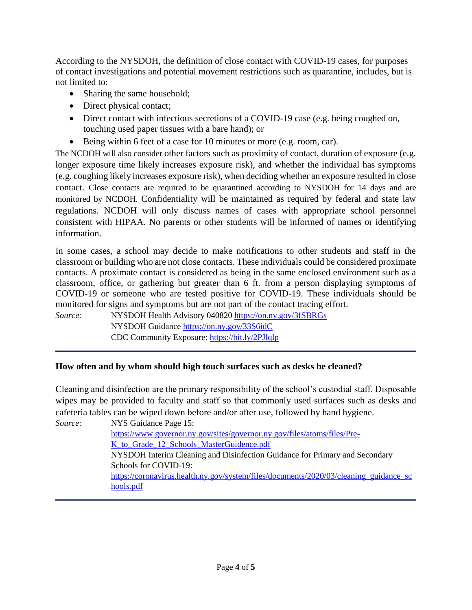According to the NYSDOH, the definition of close contact with COVID-19 cases, for purposes of contact investigations and potential movement restrictions such as quarantine, includes, but is not limited to:

- Sharing the same household;
- Direct physical contact;
- Direct contact with infectious secretions of a COVID-19 case (e.g. being coughed on, touching used paper tissues with a bare hand); or
- Being within 6 feet of a case for 10 minutes or more (e.g. room, car).

The NCDOH will also consider other factors such as proximity of contact, duration of exposure (e.g. longer exposure time likely increases exposure risk), and whether the individual has symptoms (e.g. coughing likely increases exposure risk), when deciding whether an exposure resulted in close contact. Close contacts are required to be quarantined according to NYSDOH for 14 days and are monitored by NCDOH. Confidentiality will be maintained as required by federal and state law regulations. NCDOH will only discuss names of cases with appropriate school personnel consistent with HIPAA. No parents or other students will be informed of names or identifying information.

In some cases, a school may decide to make notifications to other students and staff in the classroom or building who are not close contacts. These individuals could be considered proximate contacts. A proximate contact is considered as being in the same enclosed environment such as a classroom, office, or gathering but greater than 6 ft. from a person displaying symptoms of COVID-19 or someone who are tested positive for COVID-19. These individuals should be monitored for signs and symptoms but are not part of the contact tracing effort.

*Source*: NYSDOH Health Advisory 040820<https://on.ny.gov/3fSBRGs> NYSDOH Guidance<https://on.ny.gov/33S6idC> CDC Community Exposure:<https://bit.ly/2PJlqlp>

### **How often and by whom should high touch surfaces such as desks be cleaned?**

Cleaning and disinfection are the primary responsibility of the school's custodial staff. Disposable wipes may be provided to faculty and staff so that commonly used surfaces such as desks and cafeteria tables can be wiped down before and/or after use, followed by hand hygiene.

*Source*: NYS Guidance Page 15: [https://www.governor.ny.gov/sites/governor.ny.gov/files/atoms/files/Pre-](https://www.governor.ny.gov/sites/governor.ny.gov/files/atoms/files/Pre-K_to_Grade_12_Schools_MasterGuidence.pdf)[K\\_to\\_Grade\\_12\\_Schools\\_MasterGuidence.pdf](https://www.governor.ny.gov/sites/governor.ny.gov/files/atoms/files/Pre-K_to_Grade_12_Schools_MasterGuidence.pdf) NYSDOH Interim Cleaning and Disinfection Guidance for Primary and Secondary Schools for COVID-19: [https://coronavirus.health.ny.gov/system/files/documents/2020/03/cleaning\\_guidance\\_sc](https://coronavirus.health.ny.gov/system/files/documents/2020/03/cleaning_guidance_schools.pdf) [hools.pdf](https://coronavirus.health.ny.gov/system/files/documents/2020/03/cleaning_guidance_schools.pdf)